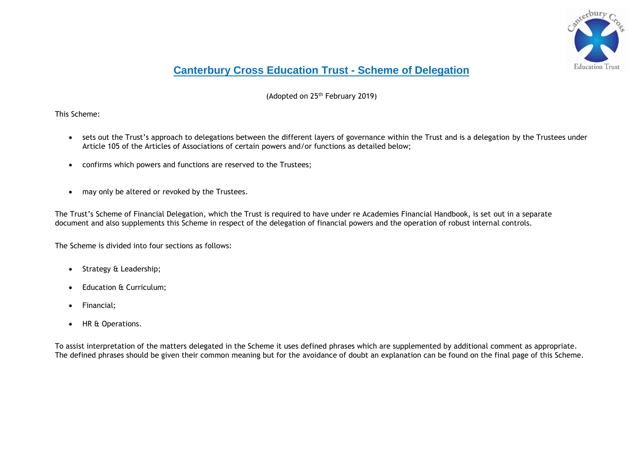

## **Canterbury Cross Education Trust - Scheme of Delegation**

(Adopted on 25<sup>th</sup> February 2019)

This Scheme:

- sets out the Trust's approach to delegations between the different layers of governance within the Trust and is a delegation by the Trustees under Article 105 of the Articles of Associations of certain powers and/or functions as detailed below;
- confirms which powers and functions are reserved to the Trustees;
- may only be altered or revoked by the Trustees.

The Trust's Scheme of Financial Delegation, which the Trust is required to have under re Academies Financial Handbook, is set out in a separate document and also supplements this Scheme in respect of the delegation of financial powers and the operation of robust internal controls.

The Scheme is divided into four sections as follows:

- Strategy & Leadership;
- Education & Curriculum;
- Financial;
- HR & Operations.

To assist interpretation of the matters delegated in the Scheme it uses defined phrases which are supplemented by additional comment as appropriate. The defined phrases should be given their common meaning but for the avoidance of doubt an explanation can be found on the final page of this Scheme.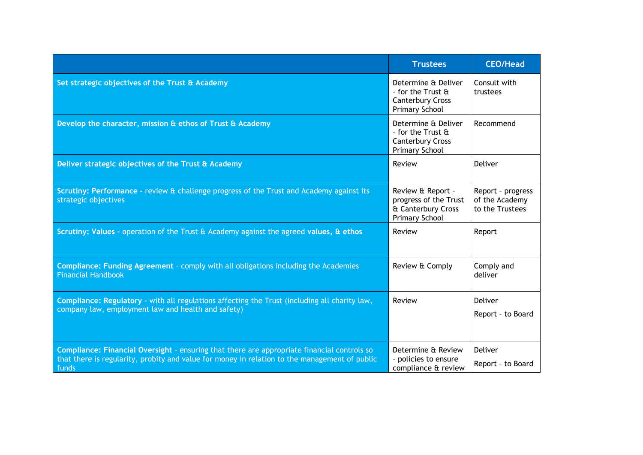|                                                                                                                                                                                                       | <b>Trustees</b>                                                                                               | <b>CEO/Head</b>                                        |
|-------------------------------------------------------------------------------------------------------------------------------------------------------------------------------------------------------|---------------------------------------------------------------------------------------------------------------|--------------------------------------------------------|
| Set strategic objectives of the Trust & Academy                                                                                                                                                       | Determine & Deliver<br>- for the Trust $\mathbf{\hat{a}}$<br><b>Canterbury Cross</b><br><b>Primary School</b> | Consult with<br>trustees                               |
| Develop the character, mission & ethos of Trust & Academy                                                                                                                                             | Determine & Deliver<br>- for the Trust $\mathbf{\hat{a}}$<br><b>Canterbury Cross</b><br><b>Primary School</b> | Recommend                                              |
| Deliver strategic objectives of the Trust & Academy                                                                                                                                                   | Review                                                                                                        | Deliver                                                |
| Scrutiny: Performance - review & challenge progress of the Trust and Academy against its<br>strategic objectives                                                                                      | Review & Report -<br>progress of the Trust<br>& Canterbury Cross<br><b>Primary School</b>                     | Report - progress<br>of the Academy<br>to the Trustees |
| Scrutiny: Values - operation of the Trust $\theta$ Academy against the agreed values, $\theta$ ethos                                                                                                  | Review                                                                                                        | Report                                                 |
| Compliance: Funding Agreement - comply with all obligations including the Academies<br><b>Financial Handbook</b>                                                                                      | Review & Comply                                                                                               | Comply and<br>deliver                                  |
| Compliance: Regulatory - with all regulations affecting the Trust (including all charity law,<br>company law, employment law and health and safety)                                                   | Review                                                                                                        | Deliver<br>Report - to Board                           |
| Compliance: Financial Oversight - ensuring that there are appropriate financial controls so<br>that there is regularity, probity and value for money in relation to the management of public<br>funds | Determine & Review<br>- policies to ensure<br>compliance & review                                             | Deliver<br>Report - to Board                           |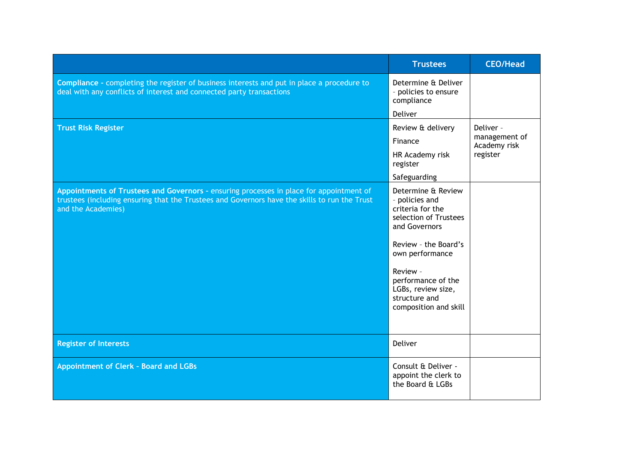|                                                                                                                                                                                                                | <b>Trustees</b>                                                                                                                                                                                                                                 | <b>CEO/Head</b>               |
|----------------------------------------------------------------------------------------------------------------------------------------------------------------------------------------------------------------|-------------------------------------------------------------------------------------------------------------------------------------------------------------------------------------------------------------------------------------------------|-------------------------------|
| <b>Compliance</b> - completing the register of business interests and put in place a procedure to<br>deal with any conflicts of interest and connected party transactions                                      | Determine & Deliver<br>- policies to ensure<br>compliance                                                                                                                                                                                       |                               |
|                                                                                                                                                                                                                | Deliver                                                                                                                                                                                                                                         |                               |
| <b>Trust Risk Register</b>                                                                                                                                                                                     | Review & delivery                                                                                                                                                                                                                               | Deliver -                     |
|                                                                                                                                                                                                                | Finance                                                                                                                                                                                                                                         | management of<br>Academy risk |
|                                                                                                                                                                                                                | HR Academy risk<br>register                                                                                                                                                                                                                     | register                      |
|                                                                                                                                                                                                                | Safeguarding                                                                                                                                                                                                                                    |                               |
| Appointments of Trustees and Governors - ensuring processes in place for appointment of<br>trustees (including ensuring that the Trustees and Governors have the skills to run the Trust<br>and the Academies) | Determine & Review<br>- policies and<br>criteria for the<br>selection of Trustees<br>and Governors<br>Review - the Board's<br>own performance<br>Review -<br>performance of the<br>LGBs, review size,<br>structure and<br>composition and skill |                               |
| <b>Register of Interests</b>                                                                                                                                                                                   | <b>Deliver</b>                                                                                                                                                                                                                                  |                               |
| <b>Appointment of Clerk - Board and LGBs</b>                                                                                                                                                                   | Consult & Deliver -<br>appoint the clerk to<br>the Board & LGBs                                                                                                                                                                                 |                               |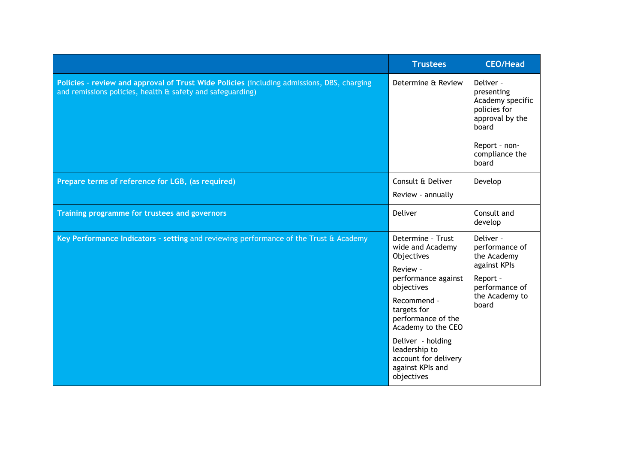|                                                                                                                                                          | <b>Trustees</b>                                                                                                                                                                                                                                                                | <b>CEO/Head</b>                                                                                                                     |
|----------------------------------------------------------------------------------------------------------------------------------------------------------|--------------------------------------------------------------------------------------------------------------------------------------------------------------------------------------------------------------------------------------------------------------------------------|-------------------------------------------------------------------------------------------------------------------------------------|
| Policies - review and approval of Trust Wide Policies (including admissions, DBS, charging<br>and remissions policies, health & safety and safeguarding) | Determine & Review                                                                                                                                                                                                                                                             | Deliver -<br>presenting<br>Academy specific<br>policies for<br>approval by the<br>board<br>Report - non-<br>compliance the<br>board |
| Prepare terms of reference for LGB, (as required)                                                                                                        | Consult & Deliver<br>Review - annually                                                                                                                                                                                                                                         | Develop                                                                                                                             |
| Training programme for trustees and governors                                                                                                            | Deliver                                                                                                                                                                                                                                                                        | Consult and<br>develop                                                                                                              |
| Key Performance Indicators - setting and reviewing performance of the Trust & Academy                                                                    | Determine - Trust<br>wide and Academy<br>Objectives<br>Review -<br>performance against<br>objectives<br>Recommend -<br>targets for<br>performance of the<br>Academy to the CEO<br>Deliver - holding<br>leadership to<br>account for delivery<br>against KPIs and<br>objectives | Deliver -<br>performance of<br>the Academy<br>against KPIs<br>Report -<br>performance of<br>the Academy to<br>board                 |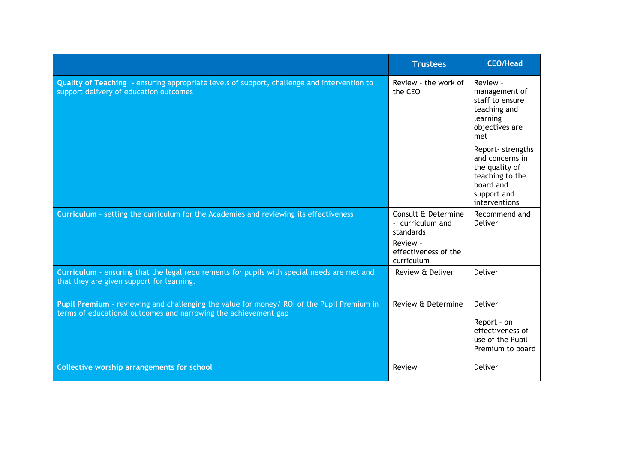|                                                                                                                                                               | <b>Trustees</b>                                                  | <b>CEO/Head</b>                                                                                                        |
|---------------------------------------------------------------------------------------------------------------------------------------------------------------|------------------------------------------------------------------|------------------------------------------------------------------------------------------------------------------------|
| Quality of Teaching - ensuring appropriate levels of support, challenge and intervention to<br>support delivery of education outcomes                         | Review - the work of<br>the CEO                                  | Review -<br>management of<br>staff to ensure<br>teaching and<br>learning<br>objectives are<br>met                      |
|                                                                                                                                                               |                                                                  | Report- strengths<br>and concerns in<br>the quality of<br>teaching to the<br>board and<br>support and<br>interventions |
| Curriculum - setting the curriculum for the Academies and reviewing its effectiveness                                                                         | Consult & Determine<br>- curriculum and<br>standards<br>Review - | Recommend and<br>Deliver                                                                                               |
|                                                                                                                                                               | effectiveness of the<br>curriculum                               |                                                                                                                        |
| Curriculum - ensuring that the legal requirements for pupils with special needs are met and<br>that they are given support for learning.                      | Review & Deliver                                                 | Deliver                                                                                                                |
| Pupil Premium - reviewing and challenging the value for money/ ROI of the Pupil Premium in<br>terms of educational outcomes and narrowing the achievement gap | Review & Determine                                               | Deliver                                                                                                                |
|                                                                                                                                                               |                                                                  | Report - on<br>effectiveness of<br>use of the Pupil<br>Premium to board                                                |
| <b>Collective worship arrangements for school</b>                                                                                                             | Review                                                           | Deliver                                                                                                                |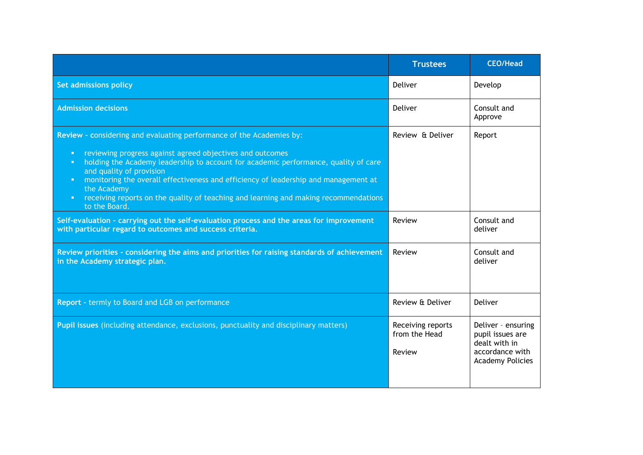|                                                                                                                                                                                                                                                                                                                                                                                                                                                                                       | <b>Trustees</b>                              | <b>CEO/Head</b>                                                                                       |
|---------------------------------------------------------------------------------------------------------------------------------------------------------------------------------------------------------------------------------------------------------------------------------------------------------------------------------------------------------------------------------------------------------------------------------------------------------------------------------------|----------------------------------------------|-------------------------------------------------------------------------------------------------------|
| Set admissions policy                                                                                                                                                                                                                                                                                                                                                                                                                                                                 | Deliver                                      | Develop                                                                                               |
| <b>Admission decisions</b>                                                                                                                                                                                                                                                                                                                                                                                                                                                            | Deliver                                      | Consult and<br>Approve                                                                                |
| Review - considering and evaluating performance of the Academies by:<br>reviewing progress against agreed objectives and outcomes<br>o.<br>holding the Academy leadership to account for academic performance, quality of care<br>o.<br>and quality of provision<br>monitoring the overall effectiveness and efficiency of leadership and management at<br>the Academy<br>receiving reports on the quality of teaching and learning and making recommendations<br>п.<br>to the Board. | Review & Deliver                             | Report                                                                                                |
| Self-evaluation - carrying out the self-evaluation process and the areas for improvement<br>with particular regard to outcomes and success criteria.                                                                                                                                                                                                                                                                                                                                  | Review                                       | Consult and<br>deliver                                                                                |
| Review priorities - considering the aims and priorities for raising standards of achievement<br>in the Academy strategic plan.                                                                                                                                                                                                                                                                                                                                                        | Review                                       | Consult and<br>deliver                                                                                |
| Report - termly to Board and LGB on performance                                                                                                                                                                                                                                                                                                                                                                                                                                       | Review & Deliver                             | Deliver                                                                                               |
| Pupil issues (including attendance, exclusions, punctuality and disciplinary matters)                                                                                                                                                                                                                                                                                                                                                                                                 | Receiving reports<br>from the Head<br>Review | Deliver - ensuring<br>pupil issues are<br>dealt with in<br>accordance with<br><b>Academy Policies</b> |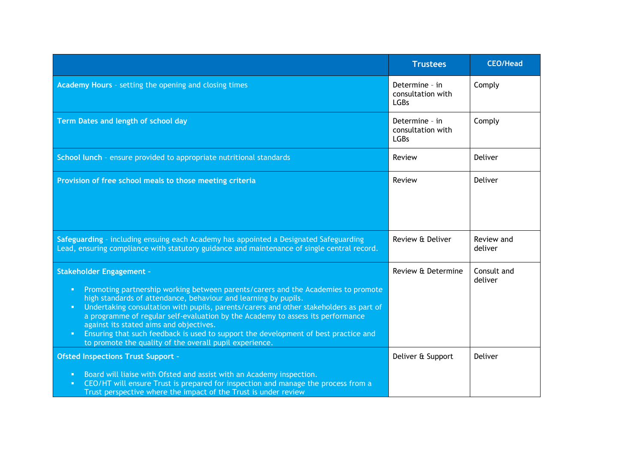|                                                                                                                                                                                                                                                                                                                                                                                                                                                                                                                                                                                                                         | <b>Trustees</b>                                    | <b>CEO/Head</b>        |
|-------------------------------------------------------------------------------------------------------------------------------------------------------------------------------------------------------------------------------------------------------------------------------------------------------------------------------------------------------------------------------------------------------------------------------------------------------------------------------------------------------------------------------------------------------------------------------------------------------------------------|----------------------------------------------------|------------------------|
| Academy Hours - setting the opening and closing times                                                                                                                                                                                                                                                                                                                                                                                                                                                                                                                                                                   | Determine - in<br>consultation with<br><b>LGBs</b> | Comply                 |
| Term Dates and length of school day                                                                                                                                                                                                                                                                                                                                                                                                                                                                                                                                                                                     | Determine - in<br>consultation with<br><b>LGBs</b> | Comply                 |
| School lunch - ensure provided to appropriate nutritional standards                                                                                                                                                                                                                                                                                                                                                                                                                                                                                                                                                     | Review                                             | Deliver                |
| Provision of free school meals to those meeting criteria                                                                                                                                                                                                                                                                                                                                                                                                                                                                                                                                                                | Review                                             | Deliver                |
| Safeguarding - including ensuing each Academy has appointed a Designated Safeguarding<br>Lead, ensuring compliance with statutory guidance and maintenance of single central record.                                                                                                                                                                                                                                                                                                                                                                                                                                    | Review & Deliver                                   | Review and<br>deliver  |
| <b>Stakeholder Engagement -</b><br>Promoting partnership working between parents/carers and the Academies to promote<br>$\blacksquare$<br>high standards of attendance, behaviour and learning by pupils.<br>Undertaking consultation with pupils, parents/carers and other stakeholders as part of<br>$\blacksquare$<br>a programme of regular self-evaluation by the Academy to assess its performance<br>against its stated aims and objectives.<br>Ensuring that such feedback is used to support the development of best practice and<br>$\blacksquare$<br>to promote the quality of the overall pupil experience. | Review & Determine                                 | Consult and<br>deliver |
| <b>Ofsted Inspections Trust Support -</b>                                                                                                                                                                                                                                                                                                                                                                                                                                                                                                                                                                               | Deliver & Support                                  | Deliver                |
| Board will liaise with Ofsted and assist with an Academy inspection.<br>$\blacksquare$<br>CEO/HT will ensure Trust is prepared for inspection and manage the process from a<br>$\blacksquare$<br>Trust perspective where the impact of the Trust is under review                                                                                                                                                                                                                                                                                                                                                        |                                                    |                        |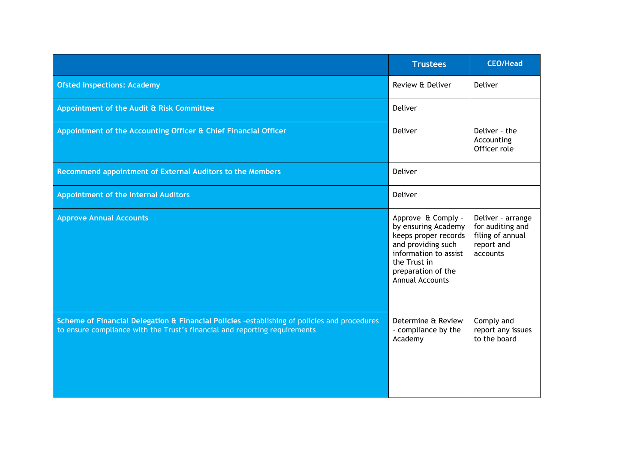|                                                                                                                                                                            | <b>Trustees</b>                                                                                                                                                                  | <b>CEO/Head</b>                                                                     |
|----------------------------------------------------------------------------------------------------------------------------------------------------------------------------|----------------------------------------------------------------------------------------------------------------------------------------------------------------------------------|-------------------------------------------------------------------------------------|
| <b>Ofsted Inspections: Academy</b>                                                                                                                                         | Review & Deliver                                                                                                                                                                 | Deliver                                                                             |
| Appointment of the Audit & Risk Committee                                                                                                                                  | Deliver                                                                                                                                                                          |                                                                                     |
| Appointment of the Accounting Officer & Chief Financial Officer                                                                                                            | Deliver                                                                                                                                                                          | Deliver - the<br>Accounting<br>Officer role                                         |
| Recommend appointment of External Auditors to the Members                                                                                                                  | Deliver                                                                                                                                                                          |                                                                                     |
| Appointment of the Internal Auditors                                                                                                                                       | Deliver                                                                                                                                                                          |                                                                                     |
| <b>Approve Annual Accounts</b>                                                                                                                                             | Approve & Comply -<br>by ensuring Academy<br>keeps proper records<br>and providing such<br>information to assist<br>the Trust in<br>preparation of the<br><b>Annual Accounts</b> | Deliver - arrange<br>for auditing and<br>filing of annual<br>report and<br>accounts |
| Scheme of Financial Delegation & Financial Policies -establishing of policies and procedures<br>to ensure compliance with the Trust's financial and reporting requirements | Determine & Review<br>- compliance by the<br>Academy                                                                                                                             | Comply and<br>report any issues<br>to the board                                     |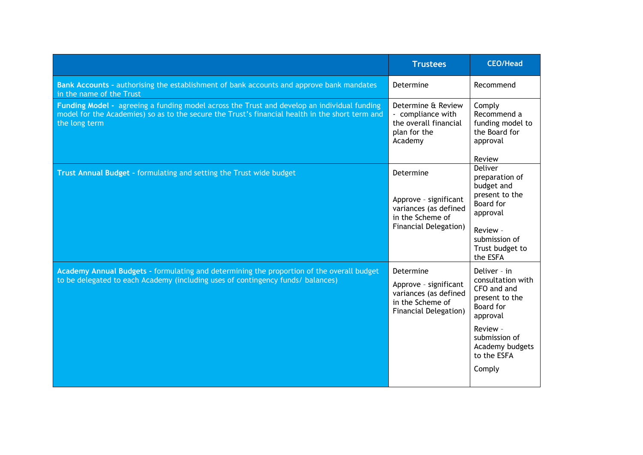|                                                                                                                                                                                                                 | <b>Trustees</b>                                                                                                 | <b>CEO/Head</b>                                                                                                                                                      |
|-----------------------------------------------------------------------------------------------------------------------------------------------------------------------------------------------------------------|-----------------------------------------------------------------------------------------------------------------|----------------------------------------------------------------------------------------------------------------------------------------------------------------------|
| Bank Accounts - authorising the establishment of bank accounts and approve bank mandates<br>in the name of the Trust                                                                                            | Determine                                                                                                       | Recommend                                                                                                                                                            |
| Funding Model - agreeing a funding model across the Trust and develop an individual funding<br>model for the Academies) so as to the secure the Trust's financial health in the short term and<br>the long term | Determine & Review<br>- compliance with<br>the overall financial<br>plan for the<br>Academy                     | Comply<br>Recommend a<br>funding model to<br>the Board for<br>approval<br>Review                                                                                     |
| Trust Annual Budget - formulating and setting the Trust wide budget                                                                                                                                             | Determine<br>Approve - significant<br>variances (as defined<br>in the Scheme of<br><b>Financial Delegation)</b> | Deliver<br>preparation of<br>budget and<br>present to the<br><b>Board</b> for<br>approval<br>Review -<br>submission of<br>Trust budget to<br>the ESFA                |
| Academy Annual Budgets - formulating and determining the proportion of the overall budget<br>to be delegated to each Academy (including uses of contingency funds/ balances)                                    | Determine<br>Approve - significant<br>variances (as defined<br>in the Scheme of<br><b>Financial Delegation)</b> | Deliver - in<br>consultation with<br>CFO and and<br>present to the<br>Board for<br>approval<br>Review -<br>submission of<br>Academy budgets<br>to the ESFA<br>Comply |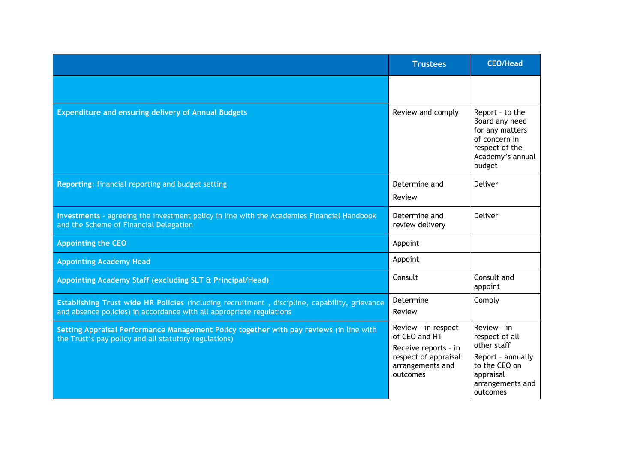|                                                                                                                                                                       | <b>Trustees</b>                                                                                                      | <b>CEO/Head</b>                                                                                                                 |
|-----------------------------------------------------------------------------------------------------------------------------------------------------------------------|----------------------------------------------------------------------------------------------------------------------|---------------------------------------------------------------------------------------------------------------------------------|
|                                                                                                                                                                       |                                                                                                                      |                                                                                                                                 |
| <b>Expenditure and ensuring delivery of Annual Budgets</b>                                                                                                            | Review and comply                                                                                                    | Report - to the<br>Board any need<br>for any matters<br>of concern in<br>respect of the<br>Academy's annual<br>budget           |
| Reporting: financial reporting and budget setting                                                                                                                     | Determine and<br>Review                                                                                              | Deliver                                                                                                                         |
| Investments - agreeing the investment policy in line with the Academies Financial Handbook<br>and the Scheme of Financial Delegation                                  | Determine and<br>review delivery                                                                                     | Deliver                                                                                                                         |
| <b>Appointing the CEO</b>                                                                                                                                             | Appoint                                                                                                              |                                                                                                                                 |
| <b>Appointing Academy Head</b>                                                                                                                                        | Appoint                                                                                                              |                                                                                                                                 |
| Appointing Academy Staff (excluding SLT & Principal/Head)                                                                                                             | Consult                                                                                                              | Consult and<br>appoint                                                                                                          |
| Establishing Trust wide HR Policies (including recruitment, discipline, capability, grievance<br>and absence policies) in accordance with all appropriate regulations | Determine<br>Review                                                                                                  | Comply                                                                                                                          |
| Setting Appraisal Performance Management Policy together with pay reviews (in line with<br>the Trust's pay policy and all statutory regulations)                      | Review - in respect<br>of CEO and HT<br>Receive reports - in<br>respect of appraisal<br>arrangements and<br>outcomes | Review - in<br>respect of all<br>other staff<br>Report - annually<br>to the CEO on<br>appraisal<br>arrangements and<br>outcomes |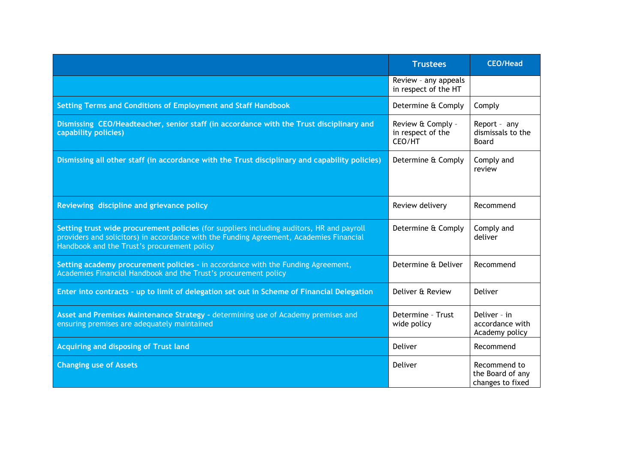|                                                                                                                                                                                                                                     | <b>Trustees</b>                                  | <b>CEO/Head</b>                                      |
|-------------------------------------------------------------------------------------------------------------------------------------------------------------------------------------------------------------------------------------|--------------------------------------------------|------------------------------------------------------|
|                                                                                                                                                                                                                                     | Review - any appeals<br>in respect of the HT     |                                                      |
| Setting Terms and Conditions of Employment and Staff Handbook                                                                                                                                                                       | Determine & Comply                               | Comply                                               |
| Dismissing CEO/Headteacher, senior staff (in accordance with the Trust disciplinary and<br>capability policies)                                                                                                                     | Review & Comply -<br>in respect of the<br>CEO/HT | Report - any<br>dismissals to the<br><b>Board</b>    |
| Dismissing all other staff (in accordance with the Trust disciplinary and capability policies)                                                                                                                                      | Determine & Comply                               | Comply and<br>review                                 |
| Reviewing discipline and grievance policy                                                                                                                                                                                           | Review delivery                                  | Recommend                                            |
| Setting trust wide procurement policies (for suppliers including auditors, HR and payroll<br>providers and solicitors) in accordance with the Funding Agreement, Academies Financial<br>Handbook and the Trust's procurement policy | Determine & Comply                               | Comply and<br>deliver                                |
| Setting academy procurement policies - in accordance with the Funding Agreement,<br>Academies Financial Handbook and the Trust's procurement policy                                                                                 | Determine & Deliver                              | Recommend                                            |
| Enter into contracts - up to limit of delegation set out in Scheme of Financial Delegation                                                                                                                                          | Deliver & Review                                 | Deliver                                              |
| Asset and Premises Maintenance Strategy - determining use of Academy premises and<br>ensuring premises are adequately maintained                                                                                                    | Determine - Trust<br>wide policy                 | Deliver - in<br>accordance with<br>Academy policy    |
| Acquiring and disposing of Trust land                                                                                                                                                                                               | Deliver                                          | Recommend                                            |
| <b>Changing use of Assets</b>                                                                                                                                                                                                       | Deliver                                          | Recommend to<br>the Board of any<br>changes to fixed |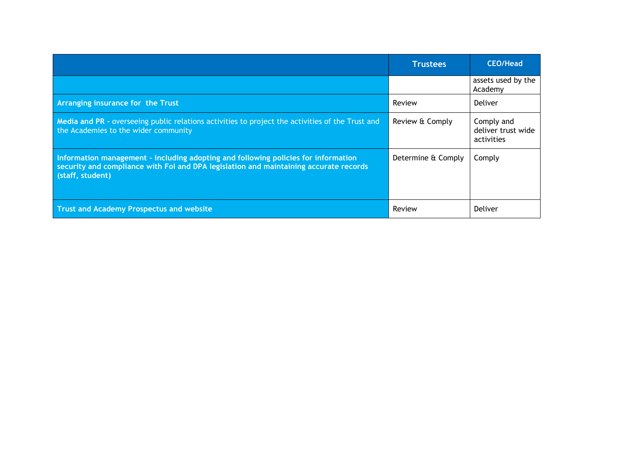|                                                                                                                                                                                                 | <b>Trustees</b>    | <b>CEO/Head</b>                                |
|-------------------------------------------------------------------------------------------------------------------------------------------------------------------------------------------------|--------------------|------------------------------------------------|
|                                                                                                                                                                                                 |                    | assets used by the<br>Academy                  |
| Arranging insurance for the Trust                                                                                                                                                               | Review             | Deliver                                        |
| Media and PR - overseeing public relations activities to project the activities of the Trust and<br>the Academies to the wider community                                                        | Review & Comply    | Comply and<br>deliver trust wide<br>activities |
| Information management - including adopting and following policies for information<br>security and compliance with Fol and DPA legislation and maintaining accurate records<br>(staff, student) | Determine & Comply | Comply                                         |
| <b>Trust and Academy Prospectus and website</b>                                                                                                                                                 | Review             | Deliver                                        |